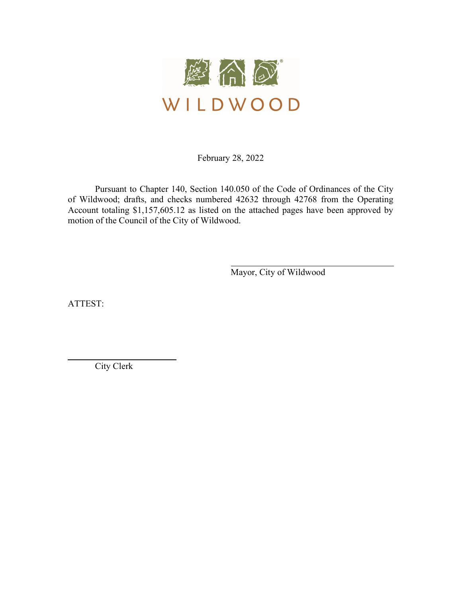

February 28, 2022

 Pursuant to Chapter 140, Section 140.050 of the Code of Ordinances of the City of Wildwood; drafts, and checks numbered 42632 through 42768 from the Operating Account totaling \$1,157,605.12 as listed on the attached pages have been approved by motion of the Council of the City of Wildwood.

Mayor, City of Wildwood

ATTEST:

l

City Clerk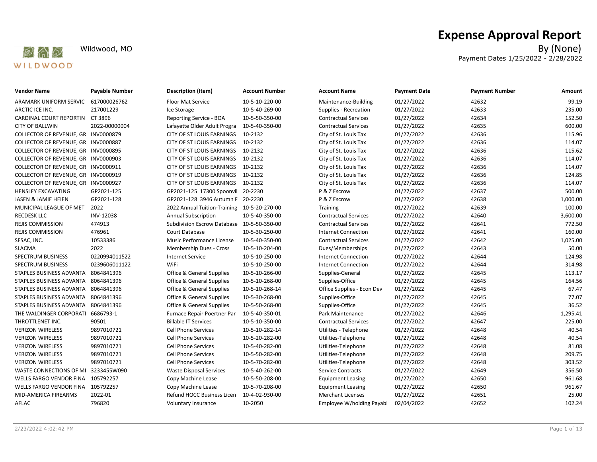

# Expense Approval Report

Wildwood, MO By (None) Payment Dates 1/25/2022 - 2/28/2022

| Vendor Name                         | <b>Payable Number</b> | <b>Description (Item)</b>                   | <b>Account Number</b> | <b>Account Name</b>         | <b>Payment Date</b> | <b>Payment Number</b> | Amount   |
|-------------------------------------|-----------------------|---------------------------------------------|-----------------------|-----------------------------|---------------------|-----------------------|----------|
| ARAMARK UNIFORM SERVIC              | 617000026762          | Floor Mat Service                           | 10-5-10-220-00        | Maintenance-Building        | 01/27/2022          | 42632                 | 99.19    |
| ARCTIC ICE INC.                     | 217001229             | Ice Storage                                 | 10-5-40-269-00        | Supplies - Recreation       | 01/27/2022          | 42633                 | 235.00   |
| CARDINAL COURT REPORTIN CT 3896     |                       | Reporting Service - BOA                     | 10-5-50-350-00        | <b>Contractual Services</b> | 01/27/2022          | 42634                 | 152.50   |
| <b>CITY OF BALLWIN</b>              | 2022-00000004         | Lafayette Older Adult Progra                | 10-5-40-350-00        | <b>Contractual Services</b> | 01/27/2022          | 42635                 | 600.00   |
| COLLECTOR OF REVENUE, GR INV0000879 |                       | CITY OF ST LOUIS EARNINGS                   | 10-2132               | City of St. Louis Tax       | 01/27/2022          | 42636                 | 115.96   |
| COLLECTOR OF REVENUE, GR INV0000887 |                       | CITY OF ST LOUIS EARNINGS                   | 10-2132               | City of St. Louis Tax       | 01/27/2022          | 42636                 | 114.07   |
| COLLECTOR OF REVENUE, GR INV0000895 |                       | CITY OF ST LOUIS EARNINGS                   | 10-2132               | City of St. Louis Tax       | 01/27/2022          | 42636                 | 115.62   |
| COLLECTOR OF REVENUE, GR INV0000903 |                       | CITY OF ST LOUIS EARNINGS                   | 10-2132               | City of St. Louis Tax       | 01/27/2022          | 42636                 | 114.07   |
| COLLECTOR OF REVENUE, GR INV0000911 |                       | CITY OF ST LOUIS EARNINGS 10-2132           |                       | City of St. Louis Tax       | 01/27/2022          | 42636                 | 114.07   |
| COLLECTOR OF REVENUE, GR INV0000919 |                       | CITY OF ST LOUIS EARNINGS                   | 10-2132               | City of St. Louis Tax       | 01/27/2022          | 42636                 | 124.85   |
| COLLECTOR OF REVENUE, GR INV0000927 |                       | CITY OF ST LOUIS EARNINGS                   | 10-2132               | City of St. Louis Tax       | 01/27/2022          | 42636                 | 114.07   |
| HENSLEY EXCAVATING                  | GP2021-125            | GP2021-125 17300 Spoonvil 20-2230           |                       | P & Z Escrow                | 01/27/2022          | 42637                 | 500.00   |
| JASEN & JAMIE HEIEN                 | GP2021-128            | GP2021-128 3946 Autumn F 20-2230            |                       | P & Z Escrow                | 01/27/2022          | 42638                 | 1,000.00 |
| MUNICIPAL LEAGUE OF MET             | 2022                  | 2022 Annual Tuition-Training 10-5-20-270-00 |                       | Training                    | 01/27/2022          | 42639                 | 100.00   |
| RECDESK LLC                         | INV-12038             | <b>Annual Subscription</b>                  | 10-5-40-350-00        | <b>Contractual Services</b> | 01/27/2022          | 42640                 | 3,600.00 |
| REJIS COMMISSION                    | 474913                | Subdivision Escrow Database 10-5-50-350-00  |                       | <b>Contractual Services</b> | 01/27/2022          | 42641                 | 772.50   |
| REJIS COMMISSION                    | 476961                | Court Database                              | 10-5-30-250-00        | <b>Internet Connection</b>  | 01/27/2022          | 42641                 | 160.00   |
| SESAC, INC.                         | 10533386              | Music Performance License                   | 10-5-40-350-00        | <b>Contractual Services</b> | 01/27/2022          | 42642                 | 1,025.00 |
| SLACMA                              | 2022                  | Membership Dues - Cross                     | 10-5-10-204-00        | Dues/Memberships            | 01/27/2022          | 42643                 | 50.00    |
| SPECTRUM BUSINESS                   | 0220994011522         | <b>Internet Service</b>                     | 10-5-10-250-00        | <b>Internet Connection</b>  | 01/27/2022          | 42644                 | 124.98   |
| SPECTRUM BUSINESS                   | 0239606011122         | WiFi                                        | 10-5-10-250-00        | <b>Internet Connection</b>  | 01/27/2022          | 42644                 | 314.98   |
| STAPLES BUSINESS ADVANTA            | 8064841396            | <b>Office &amp; General Supplies</b>        | 10-5-10-266-00        | Supplies-General            | 01/27/2022          | 42645                 | 113.17   |
| STAPLES BUSINESS ADVANTA 8064841396 |                       | <b>Office &amp; General Supplies</b>        | 10-5-10-268-00        | Supplies-Office             | 01/27/2022          | 42645                 | 164.56   |
| STAPLES BUSINESS ADVANTA            | 8064841396            | <b>Office &amp; General Supplies</b>        | 10-5-10-268-14        | Office Supplies - Econ Dev  | 01/27/2022          | 42645                 | 67.47    |
| STAPLES BUSINESS ADVANTA            | 8064841396            | <b>Office &amp; General Supplies</b>        | 10-5-30-268-00        | Supplies-Office             | 01/27/2022          | 42645                 | 77.07    |
| STAPLES BUSINESS ADVANTA 8064841396 |                       | Office & General Supplies                   | 10-5-50-268-00        | Supplies-Office             | 01/27/2022          | 42645                 | 36.52    |
| THE WALDINGER CORPORATI 6686793-1   |                       | Furnace Repair Poertner Par                 | 10-5-40-350-01        | Park Maintenance            | 01/27/2022          | 42646                 | 1,295.41 |
| THROTTLENET INC.                    | 90501                 | <b>Billable IT Services</b>                 | 10-5-10-350-00        | <b>Contractual Services</b> | 01/27/2022          | 42647                 | 225.00   |
| <b>VERIZON WIRELESS</b>             | 9897010721            | <b>Cell Phone Services</b>                  | 10-5-10-282-14        | Utilities - Telephone       | 01/27/2022          | 42648                 | 40.54    |
| <b>VERIZON WIRELESS</b>             | 9897010721            | <b>Cell Phone Services</b>                  | 10-5-20-282-00        | Utilities-Telephone         | 01/27/2022          | 42648                 | 40.54    |
| <b>VERIZON WIRELESS</b>             | 9897010721            | <b>Cell Phone Services</b>                  | 10-5-40-282-00        | Utilities-Telephone         | 01/27/2022          | 42648                 | 81.08    |
| <b>VERIZON WIRELESS</b>             | 9897010721            | <b>Cell Phone Services</b>                  | 10-5-50-282-00        | Utilities-Telephone         | 01/27/2022          | 42648                 | 209.75   |
| <b>VERIZON WIRELESS</b>             | 9897010721            | <b>Cell Phone Services</b>                  | 10-5-70-282-00        | Utilities-Telephone         | 01/27/2022          | 42648                 | 303.52   |
| WASTE CONNECTIONS OF MI             | 3233455W090           | <b>Waste Disposal Services</b>              | 10-5-40-262-00        | Service Contracts           | 01/27/2022          | 42649                 | 356.50   |
| WELLS FARGO VENDOR FINA             | 105792257             | Copy Machine Lease                          | 10-5-50-208-00        | <b>Equipment Leasing</b>    | 01/27/2022          | 42650                 | 961.68   |
| WELLS FARGO VENDOR FINA             | 105792257             | Copy Machine Lease                          | 10-5-70-208-00        | <b>Equipment Leasing</b>    | 01/27/2022          | 42650                 | 961.67   |
| MID-AMERICA FIREARMS                | 2022-01               | Refund HOCC Business Licen                  | 10-4-02-930-00        | <b>Merchant Licenses</b>    | 01/27/2022          | 42651                 | 25.00    |
| AFLAC                               | 796820                | Voluntary Insurance                         | 10-2050               | Employee W/holding Payabl   | 02/04/2022          | 42652                 | 102.24   |
|                                     |                       |                                             |                       |                             |                     |                       |          |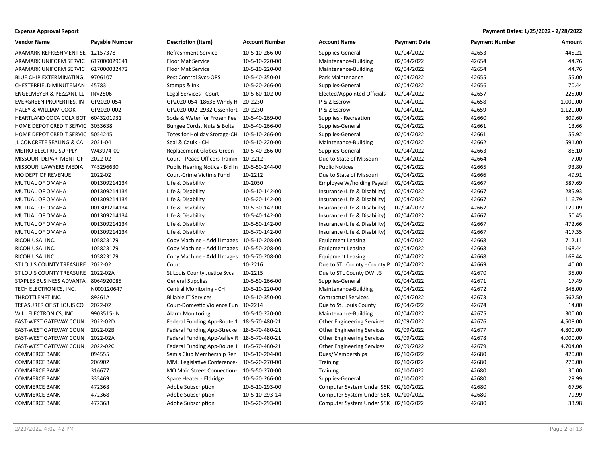| <b>Vendor Name</b>                  | <b>Payable Number</b> | <b>Description (Item)</b>                     | <b>Account Number</b> | <b>Account Name</b>                   | <b>Payment Date</b> | <b>Payment Number</b> | Amount   |
|-------------------------------------|-----------------------|-----------------------------------------------|-----------------------|---------------------------------------|---------------------|-----------------------|----------|
| ARAMARK REFRESHMENT SE 12157378     |                       | <b>Refreshment Service</b>                    | 10-5-10-266-00        | Supplies-General                      | 02/04/2022          | 42653                 | 445.21   |
| ARAMARK UNIFORM SERVIC 617000029641 |                       | <b>Floor Mat Service</b>                      | 10-5-10-220-00        | Maintenance-Building                  | 02/04/2022          | 42654                 | 44.76    |
| ARAMARK UNIFORM SERVIC 617000032472 |                       | <b>Floor Mat Service</b>                      | 10-5-10-220-00        | Maintenance-Building                  | 02/04/2022          | 42654                 | 44.76    |
| BLUE CHIP EXTERMINATING, 9706107    |                       | Pest Control Svcs-OPS                         | 10-5-40-350-01        | Park Maintenance                      | 02/04/2022          | 42655                 | 55.00    |
| CHESTERFIELD MINUTEMAN              | 45783                 | Stamps & Ink                                  | 10-5-20-266-00        | Supplies-General                      | 02/04/2022          | 42656                 | 70.44    |
| ENGELMEYER & PEZZANI, LL            | <b>INV2506</b>        | Legal Services - Court                        | 10-5-60-102-00        | Elected/Appointed Officials           | 02/04/2022          | 42657                 | 225.00   |
| EVERGREEN PROPERTIES, IN            | GP2020-054            | GP2020-054 18636 Windy H 20-2230              |                       | P & Z Escrow                          | 02/04/2022          | 42658                 | 1,000.00 |
| <b>HALEY &amp; WILLIAM COOK</b>     | GP2020-002            | GP2020-002 2932 Ossenfort 20-2230             |                       | P & Z Escrow                          | 02/04/2022          | 42659                 | 1,120.00 |
| HEARTLAND COCA COLA BOT 6043201931  |                       | Soda & Water for Frozen Fee 10-5-40-269-00    |                       | Supplies - Recreation                 | 02/04/2022          | 42660                 | 809.60   |
| HOME DEPOT CREDIT SERVIC 3053638    |                       | Bungee Cords, Nuts & Bolts                    | 10-5-40-266-00        | Supplies-General                      | 02/04/2022          | 42661                 | 13.66    |
| HOME DEPOT CREDIT SERVIC 5054245    |                       | Totes for Holiday Storage-CH 10-5-10-266-00   |                       | Supplies-General                      | 02/04/2022          | 42661                 | 55.92    |
| JL CONCRETE SEALING & CA            | 2021-04               | Seal & Caulk - CH                             | 10-5-10-220-00        | Maintenance-Building                  | 02/04/2022          | 42662                 | 591.00   |
| <b>METRO ELECTRIC SUPPLY</b>        | W43974-00             | Replacement Globes-Green                      | 10-5-40-266-00        | Supplies-General                      | 02/04/2022          | 42663                 | 86.10    |
| MISSOURI DEPARTMENT OF              | 2022-02               | Court - Peace Officers Trainin 10-2212        |                       | Due to State of Missouri              | 02/04/2022          | 42664                 | 7.00     |
| MISSOURI LAWYERS MEDIA              | 745296630             | Public Hearing Notice - Bid In 10-5-50-244-00 |                       | <b>Public Notices</b>                 | 02/04/2022          | 42665                 | 93.80    |
| MO DEPT OF REVENUE                  | 2022-02               | Court-Crime Victims Fund                      | 10-2212               | Due to State of Missouri              | 02/04/2022          | 42666                 | 49.91    |
| MUTUAL OF OMAHA                     | 001309214134          | Life & Disability                             | 10-2050               | Employee W/holding Payabl             | 02/04/2022          | 42667                 | 587.69   |
| MUTUAL OF OMAHA                     | 001309214134          | Life & Disability                             | 10-5-10-142-00        | Insurance (Life & Disability)         | 02/04/2022          | 42667                 | 285.93   |
| MUTUAL OF OMAHA                     | 001309214134          | Life & Disability                             | 10-5-20-142-00        | Insurance (Life & Disability)         | 02/04/2022          | 42667                 | 116.79   |
| MUTUAL OF OMAHA                     | 001309214134          | Life & Disability                             | 10-5-30-142-00        | Insurance (Life & Disability)         | 02/04/2022          | 42667                 | 129.09   |
| MUTUAL OF OMAHA                     | 001309214134          | Life & Disability                             | 10-5-40-142-00        | Insurance (Life & Disability)         | 02/04/2022          | 42667                 | 50.45    |
| MUTUAL OF OMAHA                     | 001309214134          | Life & Disability                             | 10-5-50-142-00        | Insurance (Life & Disability)         | 02/04/2022          | 42667                 | 472.66   |
| MUTUAL OF OMAHA                     | 001309214134          | Life & Disability                             | 10-5-70-142-00        | Insurance (Life & Disability)         | 02/04/2022          | 42667                 | 417.35   |
| RICOH USA, INC.                     | 105823179             | Copy Machine - Add'l Images 10-5-10-208-00    |                       | <b>Equipment Leasing</b>              | 02/04/2022          | 42668                 | 712.11   |
| RICOH USA, INC.                     | 105823179             | Copy Machine - Add'l Images 10-5-50-208-00    |                       | <b>Equipment Leasing</b>              | 02/04/2022          | 42668                 | 168.44   |
| RICOH USA, INC.                     | 105823179             | Copy Machine - Add'l Images 10-5-70-208-00    |                       | <b>Equipment Leasing</b>              | 02/04/2022          | 42668                 | 168.44   |
| ST LOUIS COUNTY TREASURE 2022-02    |                       | Court                                         | 10-2216               | Due to STL County - County P          | 02/04/2022          | 42669                 | 40.00    |
| ST LOUIS COUNTY TREASURE 2022-02A   |                       | St Louis County Justice Svcs                  | 10-2215               | Due to STL County DWI JS              | 02/04/2022          | 42670                 | 35.00    |
| STAPLES BUSINESS ADVANTA 8064920085 |                       | <b>General Supplies</b>                       | 10-5-50-266-00        | Supplies-General                      | 02/04/2022          | 42671                 | 17.49    |
| TECH ELECTRONICS, INC.              | N000120647            | Central Monitoring - CH                       | 10-5-10-220-00        | Maintenance-Building                  | 02/04/2022          | 42672                 | 348.00   |
| THROTTLENET INC.                    | 89361A                | <b>Billable IT Services</b>                   | 10-5-10-350-00        | <b>Contractual Services</b>           | 02/04/2022          | 42673                 | 562.50   |
| TREASURER OF ST LOUIS CO            | 2022-02               | Court-Domestic Violence Fun 10-2214           |                       | Due to St. Louis County               | 02/04/2022          | 42674                 | 14.00    |
| WILL ELECTRONICS, INC.              | 9903515-IN            | Alarm Monitoring                              | 10-5-10-220-00        | Maintenance-Building                  | 02/04/2022          | 42675                 | 300.00   |
| EAST-WEST GATEWAY COUN 2022-02D     |                       | Federal Funding App-Route 1 18-5-70-480-21    |                       | <b>Other Engineering Services</b>     | 02/09/2022          | 42676                 | 4,508.00 |
| EAST-WEST GATEWAY COUN              | 2022-02B              | Federal Funding App-Strecke 18-5-70-480-21    |                       | <b>Other Engineering Services</b>     | 02/09/2022          | 42677                 | 4,800.00 |
| EAST-WEST GATEWAY COUN              | 2022-02A              | Federal Funding App-Valley R 18-5-70-480-21   |                       | <b>Other Engineering Services</b>     | 02/09/2022          | 42678                 | 4,000.00 |
| EAST-WEST GATEWAY COUN              | 2022-02C              | Federal Funding App-Route 1 18-5-70-480-21    |                       | <b>Other Engineering Services</b>     | 02/09/2022          | 42679                 | 4,704.00 |
| <b>COMMERCE BANK</b>                | 094555                | Sam's Club Membership Ren 10-5-10-204-00      |                       | Dues/Memberships                      | 02/10/2022          | 42680                 | 420.00   |
| <b>COMMERCE BANK</b>                | 206902                | MML Legislative Conference- 10-5-20-270-00    |                       | Training                              | 02/10/2022          | 42680                 | 270.00   |
| <b>COMMERCE BANK</b>                | 316677                | MO Main Street Connection-                    | 10-5-50-270-00        | <b>Training</b>                       | 02/10/2022          | 42680                 | 30.00    |
| <b>COMMERCE BANK</b>                | 335469                | Space Heater - Eldridge                       | 10-5-20-266-00        | Supplies-General                      | 02/10/2022          | 42680                 | 29.99    |
| <b>COMMERCE BANK</b>                | 472368                | Adobe Subscription                            | 10-5-10-293-00        | Computer System Under \$5K 02/10/2022 |                     | 42680                 | 67.96    |
| <b>COMMERCE BANK</b>                | 472368                | Adobe Subscription                            | 10-5-10-293-14        | Computer System Under \$5K 02/10/2022 |                     | 42680                 | 79.99    |
| <b>COMMERCE BANK</b>                | 472368                | Adobe Subscription                            | 10-5-20-293-00        | Computer System Under \$5K 02/10/2022 |                     | 42680                 | 33.98    |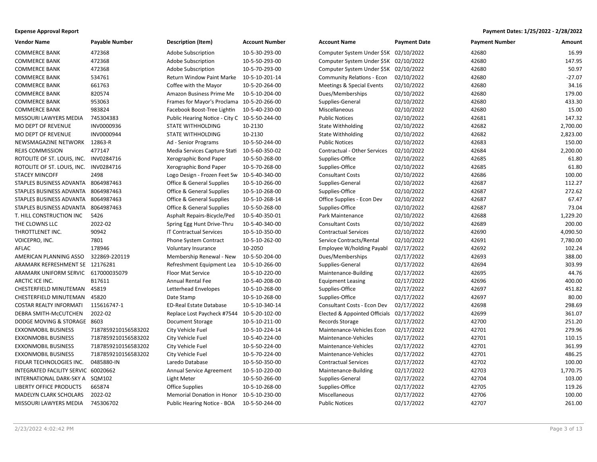| <b>Expense Approval Report</b> | Payment Dates: 1/25/2022 - 2/28/2022 |
|--------------------------------|--------------------------------------|
|--------------------------------|--------------------------------------|

| <b>Vendor Name</b>                     | <b>Payable Number</b> | Description (Item)                            | <b>Account Number</b> | <b>Account Name</b>                   | <b>Payment Date</b> | <b>Payment Number</b> | Amount   |
|----------------------------------------|-----------------------|-----------------------------------------------|-----------------------|---------------------------------------|---------------------|-----------------------|----------|
| <b>COMMERCE BANK</b>                   | 472368                | Adobe Subscription                            | 10-5-30-293-00        | Computer System Under \$5K 02/10/2022 |                     | 42680                 | 16.99    |
| <b>COMMERCE BANK</b>                   | 472368                | Adobe Subscription                            | 10-5-50-293-00        | Computer System Under \$5K 02/10/2022 |                     | 42680                 | 147.95   |
| <b>COMMERCE BANK</b>                   | 472368                | <b>Adobe Subscription</b>                     | 10-5-70-293-00        | Computer System Under \$5K 02/10/2022 |                     | 42680                 | 50.97    |
| <b>COMMERCE BANK</b>                   | 534761                | Return Window Paint Marke                     | 10-5-10-201-14        | Community Relations - Econ            | 02/10/2022          | 42680                 | $-27.07$ |
| <b>COMMERCE BANK</b>                   | 661763                | Coffee with the Mayor                         | 10-5-20-264-00        | Meetings & Special Events             | 02/10/2022          | 42680                 | 34.16    |
| <b>COMMERCE BANK</b>                   | 820574                | Amazon Business Prime Me                      | 10-5-10-204-00        | Dues/Memberships                      | 02/10/2022          | 42680                 | 179.00   |
| <b>COMMERCE BANK</b>                   | 953063                | Frames for Mayor's Proclama 10-5-20-266-00    |                       | Supplies-General                      | 02/10/2022          | 42680                 | 433.30   |
| <b>COMMERCE BANK</b>                   | 983824                | Facebook Boost-Tree Lightin                   | 10-5-40-230-00        | Miscellaneous                         | 02/10/2022          | 42680                 | 15.00    |
| MISSOURI LAWYERS MEDIA                 | 745304383             | Public Hearing Notice - City C 10-5-50-244-00 |                       | <b>Public Notices</b>                 | 02/10/2022          | 42681                 | 147.32   |
| MO DEPT OF REVENUE                     | INV0000936            | <b>STATE WITHHOLDING</b>                      | 10-2130               | <b>State Withholding</b>              | 02/10/2022          | 42682                 | 2,700.00 |
| MO DEPT OF REVENUE                     | INV0000944            | <b>STATE WITHHOLDING</b>                      | 10-2130               | <b>State Withholding</b>              | 02/10/2022          | 42682                 | 2,823.00 |
| NEWSMAGAZINE NETWORK 12863-R           |                       | Ad - Senior Programs                          | 10-5-50-244-00        | <b>Public Notices</b>                 | 02/10/2022          | 42683                 | 150.00   |
| REJIS COMMISSION                       | 477147                | Media Services Capture Stati                  | 10-5-60-350-02        | Contractual - Other Services          | 02/10/2022          | 42684                 | 2,200.00 |
| ROTOLITE OF ST. LOUIS, INC. INV0284716 |                       | Xerographic Bond Paper                        | 10-5-50-268-00        | Supplies-Office                       | 02/10/2022          | 42685                 | 61.80    |
| ROTOLITE OF ST. LOUIS, INC. INV0284716 |                       | Xerographic Bond Paper                        | 10-5-70-268-00        | Supplies-Office                       | 02/10/2022          | 42685                 | 61.80    |
| <b>STACEY MINCOFF</b>                  | 2498                  | Logo Design - Frozen Feet Sw                  | 10-5-40-340-00        | <b>Consultant Costs</b>               | 02/10/2022          | 42686                 | 100.00   |
| STAPLES BUSINESS ADVANTA 8064987463    |                       | Office & General Supplies                     | 10-5-10-266-00        | Supplies-General                      | 02/10/2022          | 42687                 | 112.27   |
| STAPLES BUSINESS ADVANTA 8064987463    |                       | Office & General Supplies                     | 10-5-10-268-00        | Supplies-Office                       | 02/10/2022          | 42687                 | 272.62   |
| STAPLES BUSINESS ADVANTA 8064987463    |                       | Office & General Supplies                     | 10-5-10-268-14        | Office Supplies - Econ Dev            | 02/10/2022          | 42687                 | 67.47    |
| STAPLES BUSINESS ADVANTA 8064987463    |                       | Office & General Supplies                     | 10-5-50-268-00        | Supplies-Office                       | 02/10/2022          | 42687                 | 73.04    |
| T. HILL CONSTRUCTION INC               | 5426                  | Asphalt Repairs-Bicycle/Ped                   | 10-5-40-350-01        | Park Maintenance                      | 02/10/2022          | 42688                 | 1,229.20 |
| THE CLOWNS LLC                         | 2022-02               | Spring Egg Hunt Drive-Thru                    | 10-5-40-340-00        | <b>Consultant Costs</b>               | 02/10/2022          | 42689                 | 200.00   |
| THROTTLENET INC.                       | 90942                 | <b>IT Contractual Services</b>                | 10-5-10-350-00        | <b>Contractual Services</b>           | 02/10/2022          | 42690                 | 4,090.50 |
| VOICEPRO, INC.                         | 7801                  | Phone System Contract                         | 10-5-10-262-00        | Service Contracts/Rental              | 02/10/2022          | 42691                 | 7,780.00 |
| AFLAC                                  | 178946                | Voluntary Insurance                           | 10-2050               | Employee W/holding Payabl             | 02/17/2022          | 42692                 | 102.24   |
| AMERICAN PLANNING ASSO                 | 322869-220119         | Membership Renewal - New                      | 10-5-50-204-00        | Dues/Memberships                      | 02/17/2022          | 42693                 | 388.00   |
| ARAMARK REFRESHMENT SE 12176281        |                       | Refreshment Equipment Lea                     | 10-5-10-266-00        | Supplies-General                      | 02/17/2022          | 42694                 | 303.99   |
| ARAMARK UNIFORM SERVIC 617000035079    |                       | <b>Floor Mat Service</b>                      | 10-5-10-220-00        | Maintenance-Building                  | 02/17/2022          | 42695                 | 44.76    |
| ARCTIC ICE INC.                        | B17611                | <b>Annual Rental Fee</b>                      | 10-5-40-208-00        | <b>Equipment Leasing</b>              | 02/17/2022          | 42696                 | 400.00   |
| CHESTERFIELD MINUTEMAN 45819           |                       | Letterhead Envelopes                          | 10-5-10-268-00        | Supplies-Office                       | 02/17/2022          | 42697                 | 451.82   |
| CHESTERFIELD MINUTEMAN                 | 45820                 | Date Stamp                                    | 10-5-10-268-00        | Supplies-Office                       | 02/17/2022          | 42697                 | 80.00    |
| <b>COSTAR REALTY INFORMATI</b>         | 115616747-1           | <b>ED-Real Estate Database</b>                | 10-5-10-340-14        | Consultant Costs - Econ Dev           | 02/17/2022          | 42698                 | 298.69   |
| DEBRA SMITH-McCUTCHEN                  | 2022-02               | Replace Lost Paycheck #7544                   | 10-5-20-102-00        | Elected & Appointed Officials         | 02/17/2022          | 42699                 | 361.07   |
| DODGE MOVING & STORAGE 8603            |                       | Document Storage                              | 10-5-10-211-00        | Records Storage                       | 02/17/2022          | 42700                 | 251.20   |
| <b>EXXONMOBIL BUSINESS</b>             | 7187859210156583202   | City Vehicle Fuel                             | 10-5-10-224-14        | Maintenance-Vehicles Econ             | 02/17/2022          | 42701                 | 279.96   |
| <b>EXXONMOBIL BUSINESS</b>             | 7187859210156583202   | City Vehicle Fuel                             | 10-5-40-224-00        | Maintenance-Vehicles                  | 02/17/2022          | 42701                 | 110.15   |
| <b>EXXONMOBIL BUSINESS</b>             | 7187859210156583202   | City Vehicle Fuel                             | 10-5-50-224-00        | Maintenance-Vehicles                  | 02/17/2022          | 42701                 | 361.99   |
| <b>EXXONMOBIL BUSINESS</b>             | 7187859210156583202   | City Vehicle Fuel                             | 10-5-70-224-00        | Maintenance-Vehicles                  | 02/17/2022          | 42701                 | 486.25   |
| FIDLAR TECHNOLOGIES INC.               | 0485880-IN            | Laredo Database                               | 10-5-50-350-00        | <b>Contractual Services</b>           | 02/17/2022          | 42702                 | 100.00   |
| INTEGRATED FACILITY SERVIC 60020662    |                       | Annual Service Agreement                      | 10-5-10-220-00        | Maintenance-Building                  | 02/17/2022          | 42703                 | 1,770.75 |
| INTERNATIONAL DARK-SKY A SQM102        |                       | Light Meter                                   | 10-5-50-266-00        | Supplies-General                      | 02/17/2022          | 42704                 | 103.00   |
| <b>LIBERTY OFFICE PRODUCTS</b>         | 665874                | <b>Office Supplies</b>                        | 10-5-10-268-00        | Supplies-Office                       | 02/17/2022          | 42705                 | 119.26   |
| <b>MADELYN CLARK SCHOLARS</b>          | 2022-02               | Memorial Donation in Honor                    | 10-5-10-230-00        | Miscellaneous                         | 02/17/2022          | 42706                 | 100.00   |
| MISSOURI LAWYERS MEDIA                 | 745306702             | Public Hearing Notice - BOA                   | 10-5-50-244-00        | <b>Public Notices</b>                 | 02/17/2022          | 42707                 | 261.00   |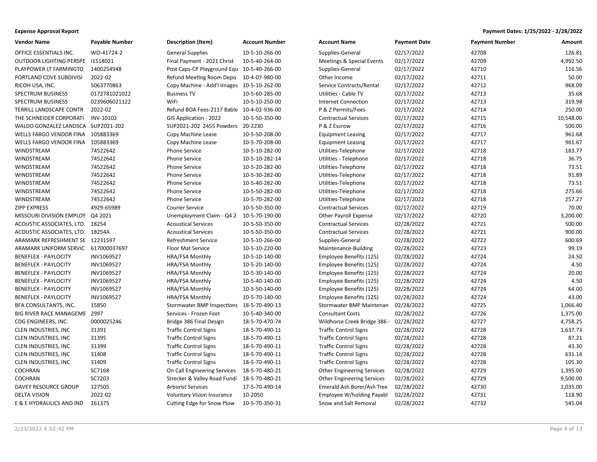| <b>Vendor Name</b>                  | <b>Payable Number</b> | Description (Item)                         | <b>Account Number</b> | <b>Account Name</b>               | <b>Payment Date</b> | <b>Payment Number</b> | Amount    |
|-------------------------------------|-----------------------|--------------------------------------------|-----------------------|-----------------------------------|---------------------|-----------------------|-----------|
| OFFICE ESSENTIALS INC.              | WO-41724-2            | <b>General Supplies</b>                    | 10-5-10-266-00        | Supplies-General                  | 02/17/2022          | 42708                 | 126.81    |
| OUTDOOR LIGHTING PERSPE 11518021    |                       | Final Payment - 2021 Christ                | 10-5-40-264-00        | Meetings & Special Events         | 02/17/2022          | 42709                 | 4,992.50  |
| PLAYPOWER LT FARMINGTO              | 1400254948            | Post Caps-CP Playground Equ 10-5-40-266-00 |                       | Supplies-General                  | 02/17/2022          | 42710                 | 116.56    |
| PORTLAND COVE SUBDIVISI             | 2022-02               | Refund Meeting Room Depo                   | 10-4-07-980-00        | Other Income                      | 02/17/2022          | 42711                 | 50.00     |
| RICOH USA, INC.                     | 5063770863            | Copy Machine - Add'l Images 10-5-10-262-00 |                       | Service Contracts/Rental          | 02/17/2022          | 42712                 | 968.09    |
| SPECTRUM BUSINESS                   | 0172781021022         | <b>Business TV</b>                         | 10-5-60-285-00        | Utilities - Cable TV              | 02/17/2022          | 42713                 | 35.68     |
| SPECTRUM BUSINESS                   | 0239606021122         | WiFi                                       | 10-5-10-250-00        | <b>Internet Connection</b>        | 02/17/2022          | 42713                 | 319.98    |
| TERRILL LANDSCAPE CONTR             | 2022-02               | Refund BOA Fees-2117 Bable 10-4-02-936-00  |                       | P & Z Permits/Fees                | 02/17/2022          | 42714                 | 250.00    |
| THE SCHNEIDER CORPORATI             | INV-10102             | GIS Application - 2022                     | 10-5-50-350-00        | <b>Contractual Services</b>       | 02/17/2022          | 42715                 | 10,548.00 |
| WALDO GONZALEZ LANDSCA SUP2021-202  |                       | SUP2021-202 2455 Powders 20-2230           |                       | P & Z Escrow                      | 02/17/2022          | 42716                 | 500.00    |
| WELLS FARGO VENDOR FINA 105883369   |                       | Copy Machine Lease                         | 10-5-50-208-00        | <b>Equipment Leasing</b>          | 02/17/2022          | 42717                 | 961.68    |
| WELLS FARGO VENDOR FINA 105883369   |                       | Copy Machine Lease                         | 10-5-70-208-00        | <b>Equipment Leasing</b>          | 02/17/2022          | 42717                 | 961.67    |
| WINDSTREAM                          | 74522642              | Phone Service                              | 10-5-10-282-00        | Utilities-Telephone               | 02/17/2022          | 42718                 | 183.77    |
| WINDSTREAM                          | 74522642              | <b>Phone Service</b>                       | 10-5-10-282-14        | Utilities - Telephone             | 02/17/2022          | 42718                 | 36.75     |
| WINDSTREAM                          | 74522642              | <b>Phone Service</b>                       | 10-5-20-282-00        | Utilities-Telephone               | 02/17/2022          | 42718                 | 73.51     |
| WINDSTREAM                          | 74522642              | Phone Service                              | 10-5-30-282-00        | Utilities-Telephone               | 02/17/2022          | 42718                 | 91.89     |
| WINDSTREAM                          | 74522642              | Phone Service                              | 10-5-40-282-00        | Utilities-Telephone               | 02/17/2022          | 42718                 | 73.51     |
| WINDSTREAM                          | 74522642              | <b>Phone Service</b>                       | 10-5-50-282-00        | Utilities-Telephone               | 02/17/2022          | 42718                 | 275.66    |
| WINDSTREAM                          | 74522642              | Phone Service                              | 10-5-70-282-00        | Utilities-Telephone               | 02/17/2022          | 42718                 | 257.27    |
| ZIPP EXPRESS                        | 4929-65989            | <b>Courier Service</b>                     | 10-5-50-350-00        | <b>Contractual Services</b>       | 02/17/2022          | 42719                 | 70.00     |
| MISSOURI DIVISION EMPLOY            | Q4 2021               | Unemployment Claim - Q4 2                  | 10-5-70-190-00        | <b>Other Payroll Expense</b>      | 02/17/2022          | 42720                 | 3,200.00  |
| ACOUSTIC ASSOCIATES, LTD. 18254     |                       | <b>Acoustical Services</b>                 | 10-5-50-350-00        | <b>Contractual Services</b>       | 02/28/2022          | 42721                 | 500.00    |
| ACOUSTIC ASSOCIATES, LTD. 18254A    |                       | <b>Acoustical Services</b>                 | 10-5-50-350-00        | <b>Contractual Services</b>       | 02/28/2022          | 42721                 | 900.00    |
| ARAMARK REFRESHMENT SE 12231597     |                       | <b>Refreshment Service</b>                 | 10-5-10-266-00        | Supplies-General                  | 02/28/2022          | 42722                 | 600.69    |
| ARAMARK UNIFORM SERVIC 617000037697 |                       | Floor Mat Service                          | 10-5-10-220-00        | Maintenance-Building              | 02/28/2022          | 42723                 | 99.19     |
| <b>BENEFLEX - PAYLOCITY</b>         | INV1069527            | HRA/FSA Monthly                            | 10-5-10-140-00        | Employee Benefits (125)           | 02/28/2022          | 42724                 | 24.50     |
| <b>BENEFLEX - PAYLOCITY</b>         | INV1069527            | HRA/FSA Monthly                            | 10-5-20-140-00        | Employee Benefits (125)           | 02/28/2022          | 42724                 | 4.50      |
| <b>BENEFLEX - PAYLOCITY</b>         | INV1069527            | HRA/FSA Monthly                            | 10-5-30-140-00        | Employee Benefits (125)           | 02/28/2022          | 42724                 | 20.00     |
| <b>BENEFLEX - PAYLOCITY</b>         | INV1069527            | HRA/FSA Monthly                            | 10-5-40-140-00        | Employee Benefits (125)           | 02/28/2022          | 42724                 | 4.50      |
| <b>BENEFLEX - PAYLOCITY</b>         | INV1069527            | HRA/FSA Monthly                            | 10-5-50-140-00        | Employee Benefits (125)           | 02/28/2022          | 42724                 | 64.00     |
| <b>BENEFLEX - PAYLOCITY</b>         | INV1069527            | HRA/FSA Monthly                            | 10-5-70-140-00        | Employee Benefits (125)           | 02/28/2022          | 42724                 | 43.00     |
| BFA CONSULTANTS, INC.               | 15850                 | <b>Stormwater BMP Inspections</b>          | 18-5-70-490-13        | Stormwater BMP Maintenan          | 02/28/2022          | 42725                 | 1,066.40  |
| BIG RIVER RACE MANAGEME 2997        |                       | Services - Frozen Feet                     | 10-5-40-340-00        | <b>Consultant Costs</b>           | 02/28/2022          | 42726                 | 1,375.00  |
| CDG ENGINEERS, INC.                 | 0000025246            | Bridge 386 Final Design                    | 18-5-70-470-74        | Wildhorse Creek Bridge 386 -      | 02/28/2022          | 42727                 | 4,758.25  |
| CLEN INDUSTRIES, INC                | 31391                 | <b>Traffic Control Signs</b>               | 18-5-70-490-11        | <b>Traffic Control Signs</b>      | 02/28/2022          | 42728                 | 1,637.73  |
| CLEN INDUSTRIES, INC                | 31395                 | <b>Traffic Control Signs</b>               | 18-5-70-490-11        | <b>Traffic Control Signs</b>      | 02/28/2022          | 42728                 | 87.21     |
| CLEN INDUSTRIES, INC                | 31399                 | <b>Traffic Control Signs</b>               | 18-5-70-490-11        | <b>Traffic Control Signs</b>      | 02/28/2022          | 42728                 | 43.30     |
| CLEN INDUSTRIES, INC                | 31408                 | <b>Traffic Control Signs</b>               | 18-5-70-490-11        | <b>Traffic Control Signs</b>      | 02/28/2022          | 42728                 | 631.14    |
| CLEN INDUSTRIES, INC                | 31409                 | <b>Traffic Control Signs</b>               | 18-5-70-490-11        | <b>Traffic Control Signs</b>      | 02/28/2022          | 42728                 | 105.30    |
| <b>COCHRAN</b>                      | SC7168                | On Call Engineering Services               | 18-5-70-480-21        | <b>Other Engineering Services</b> | 02/28/2022          | 42729                 | 1,395.00  |
| <b>COCHRAN</b>                      | SC7203                | Strecker & Valley Road Fundi               | 18-5-70-480-21        | <b>Other Engineering Services</b> | 02/28/2022          | 42729                 | 9,500.00  |
| DAVEY RESOURCE GROUP                | 127505                | <b>Arborist Services</b>                   | 17-5-70-490-14        | Emerald Ash Borer/Ash Tree        | 02/28/2022          | 42730                 | 1,035.00  |
| <b>DELTA VISION</b>                 | 2022-02               | Voluntary Vision Insurance                 | 10-2050               | Employee W/holding Payabl         | 02/28/2022          | 42731                 | 118.90    |
| E & E HYDRAULICS AND IND            | 161375                | Cutting Edge for Snow Plow                 | 10-5-70-350-31        | Snow and Salt Removal             | 02/28/2022          | 42732                 | 545.04    |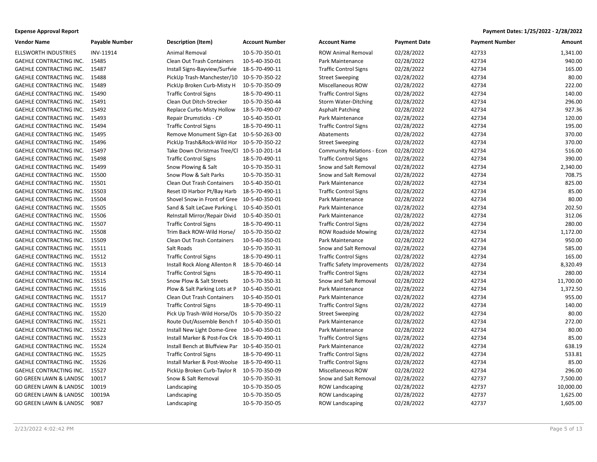| <b>Expense Approval Report</b> | Payment Dates: 1/25/2022 - 2/28/2022 |
|--------------------------------|--------------------------------------|
|--------------------------------|--------------------------------------|

| <b>Vendor Name</b>                | <b>Payable Number</b> | <b>Description (Item)</b>                     | <b>Account Number</b> | <b>Account Name</b>                | <b>Payment Date</b> | <b>Payment Number</b> | Amount    |
|-----------------------------------|-----------------------|-----------------------------------------------|-----------------------|------------------------------------|---------------------|-----------------------|-----------|
| <b>ELLSWORTH INDUSTRIES</b>       | INV-11914             | Animal Removal                                | 10-5-70-350-01        | <b>ROW Animal Removal</b>          | 02/28/2022          | 42733                 | 1,341.00  |
| <b>GAEHLE CONTRACTING INC.</b>    | 15485                 | Clean Out Trash Containers                    | 10-5-40-350-01        | Park Maintenance                   | 02/28/2022          | 42734                 | 940.00    |
| <b>GAEHLE CONTRACTING INC.</b>    | 15487                 | Install Signs-Bayview/Surfvie                 | 18-5-70-490-11        | <b>Traffic Control Signs</b>       | 02/28/2022          | 42734                 | 165.00    |
| <b>GAEHLE CONTRACTING INC.</b>    | 15488                 | PickUp Trash-Manchester/10                    | 10-5-70-350-22        | <b>Street Sweeping</b>             | 02/28/2022          | 42734                 | 80.00     |
| GAEHLE CONTRACTING INC.           | 15489                 | PickUp Broken Curb-Misty H                    | 10-5-70-350-09        | Miscellaneous ROW                  | 02/28/2022          | 42734                 | 222.00    |
| GAEHLE CONTRACTING INC.           | 15490                 | <b>Traffic Control Signs</b>                  | 18-5-70-490-11        | <b>Traffic Control Signs</b>       | 02/28/2022          | 42734                 | 140.00    |
| <b>GAEHLE CONTRACTING INC.</b>    | 15491                 | Clean Out Ditch-Strecker                      | 10-5-70-350-44        | <b>Storm Water-Ditching</b>        | 02/28/2022          | 42734                 | 296.00    |
| <b>GAEHLE CONTRACTING INC.</b>    | 15492                 | Replace Curbs-Misty Hollow                    | 18-5-70-490-07        | <b>Asphalt Patching</b>            | 02/28/2022          | 42734                 | 927.36    |
| GAEHLE CONTRACTING INC.           | 15493                 | Repair Drumsticks - CP                        | 10-5-40-350-01        | Park Maintenance                   | 02/28/2022          | 42734                 | 120.00    |
| GAEHLE CONTRACTING INC.           | 15494                 | <b>Traffic Control Signs</b>                  | 18-5-70-490-11        | <b>Traffic Control Signs</b>       | 02/28/2022          | 42734                 | 195.00    |
| <b>GAEHLE CONTRACTING INC.</b>    | 15495                 | Remove Monument Sign-Eat 10-5-50-263-00       |                       | Abatements                         | 02/28/2022          | 42734                 | 370.00    |
| GAEHLE CONTRACTING INC.           | 15496                 | PickUp Trash&Rock-Wild Hor 10-5-70-350-22     |                       | <b>Street Sweeping</b>             | 02/28/2022          | 42734                 | 370.00    |
| <b>GAEHLE CONTRACTING INC.</b>    | 15497                 | Take Down Christmas Tree/Cl 10-5-10-201-14    |                       | <b>Community Relations - Econ</b>  | 02/28/2022          | 42734                 | 516.00    |
| GAEHLE CONTRACTING INC.           | 15498                 | <b>Traffic Control Signs</b>                  | 18-5-70-490-11        | <b>Traffic Control Signs</b>       | 02/28/2022          | 42734                 | 390.00    |
| GAEHLE CONTRACTING INC.           | 15499                 | Snow Plowing & Salt                           | 10-5-70-350-31        | Snow and Salt Removal              | 02/28/2022          | 42734                 | 2,340.00  |
| <b>GAEHLE CONTRACTING INC.</b>    | 15500                 | Snow Plow & Salt Parks                        | 10-5-70-350-31        | Snow and Salt Removal              | 02/28/2022          | 42734                 | 708.75    |
| GAEHLE CONTRACTING INC.           | 15501                 | Clean Out Trash Containers                    | 10-5-40-350-01        | Park Maintenance                   | 02/28/2022          | 42734                 | 825.00    |
| <b>GAEHLE CONTRACTING INC.</b>    | 15503                 | Reset ID Harbor Pt/Bay Harb                   | 18-5-70-490-11        | <b>Traffic Control Signs</b>       | 02/28/2022          | 42734                 | 85.00     |
| GAEHLE CONTRACTING INC.           | 15504                 | Shovel Snow in Front of Gree 10-5-40-350-01   |                       | Park Maintenance                   | 02/28/2022          | 42734                 | 80.00     |
| GAEHLE CONTRACTING INC.           | 15505                 | Sand & Salt LeCave Parking L                  | 10-5-40-350-01        | Park Maintenance                   | 02/28/2022          | 42734                 | 202.50    |
| GAEHLE CONTRACTING INC.           | 15506                 | ReInstall Mirror/Repair Divid                 | 10-5-40-350-01        | Park Maintenance                   | 02/28/2022          | 42734                 | 312.06    |
| GAEHLE CONTRACTING INC.           | 15507                 | <b>Traffic Control Signs</b>                  | 18-5-70-490-11        | <b>Traffic Control Signs</b>       | 02/28/2022          | 42734                 | 280.00    |
| <b>GAEHLE CONTRACTING INC.</b>    | 15508                 | Trim Back ROW-Wild Horse/                     | 10-5-70-350-02        | <b>ROW Roadside Mowing</b>         | 02/28/2022          | 42734                 | 1,172.00  |
| <b>GAEHLE CONTRACTING INC.</b>    | 15509                 | Clean Out Trash Containers                    | 10-5-40-350-01        | Park Maintenance                   | 02/28/2022          | 42734                 | 950.00    |
| GAEHLE CONTRACTING INC.           | 15511                 | Salt Roads                                    | 10-5-70-350-31        | Snow and Salt Removal              | 02/28/2022          | 42734                 | 585.00    |
| <b>GAEHLE CONTRACTING INC.</b>    | 15512                 | <b>Traffic Control Signs</b>                  | 18-5-70-490-11        | <b>Traffic Control Signs</b>       | 02/28/2022          | 42734                 | 165.00    |
| <b>GAEHLE CONTRACTING INC.</b>    | 15513                 | Install Rock Along Allenton R                 | 18-5-70-460-14        | <b>Traffic Safety Improvements</b> | 02/28/2022          | 42734                 | 8,320.49  |
| GAEHLE CONTRACTING INC.           | 15514                 | <b>Traffic Control Signs</b>                  | 18-5-70-490-11        | <b>Traffic Control Signs</b>       | 02/28/2022          | 42734                 | 280.00    |
| GAEHLE CONTRACTING INC.           | 15515                 | Snow Plow & Salt Streets                      | 10-5-70-350-31        | Snow and Salt Removal              | 02/28/2022          | 42734                 | 11,700.00 |
| GAEHLE CONTRACTING INC.           | 15516                 | Plow & Salt Parking Lots at P                 | 10-5-40-350-01        | Park Maintenance                   | 02/28/2022          | 42734                 | 1,372.50  |
| GAEHLE CONTRACTING INC.           | 15517                 | Clean Out Trash Containers                    | 10-5-40-350-01        | Park Maintenance                   | 02/28/2022          | 42734                 | 955.00    |
| GAEHLE CONTRACTING INC.           | 15519                 | <b>Traffic Control Signs</b>                  | 18-5-70-490-11        | <b>Traffic Control Signs</b>       | 02/28/2022          | 42734                 | 140.00    |
| <b>GAEHLE CONTRACTING INC.</b>    | 15520                 | Pick Up Trash-Wild Horse/Os 10-5-70-350-22    |                       | <b>Street Sweeping</b>             | 02/28/2022          | 42734                 | 80.00     |
| <b>GAEHLE CONTRACTING INC.</b>    | 15521                 | Route Out/Assemble Bench f 10-5-40-350-01     |                       | Park Maintenance                   | 02/28/2022          | 42734                 | 272.00    |
| GAEHLE CONTRACTING INC.           | 15522                 | Install New Light Dome-Gree 10-5-40-350-01    |                       | Park Maintenance                   | 02/28/2022          | 42734                 | 80.00     |
| <b>GAEHLE CONTRACTING INC.</b>    | 15523                 | Install Marker & Post-Fox Crk 18-5-70-490-11  |                       | <b>Traffic Control Signs</b>       | 02/28/2022          | 42734                 | 85.00     |
| GAEHLE CONTRACTING INC.           | 15524                 | Install Bench at Bluffview Par 10-5-40-350-01 |                       | Park Maintenance                   | 02/28/2022          | 42734                 | 638.19    |
| <b>GAEHLE CONTRACTING INC.</b>    | 15525                 | <b>Traffic Control Signs</b>                  | 18-5-70-490-11        | <b>Traffic Control Signs</b>       | 02/28/2022          | 42734                 | 533.81    |
| GAEHLE CONTRACTING INC.           | 15526                 | Install Marker & Post-Woolse 18-5-70-490-11   |                       | <b>Traffic Control Signs</b>       | 02/28/2022          | 42734                 | 85.00     |
| GAEHLE CONTRACTING INC.           | 15527                 | PickUp Broken Curb-Taylor R                   | 10-5-70-350-09        | <b>Miscellaneous ROW</b>           | 02/28/2022          | 42734                 | 296.00    |
| GO GREEN LAWN & LANDSC 10017      |                       | Snow & Salt Removal                           | 10-5-70-350-31        | Snow and Salt Removal              | 02/28/2022          | 42737                 | 7,500.00  |
| GO GREEN LAWN & LANDSC            | 10019                 | Landscaping                                   | 10-5-70-350-05        | <b>ROW Landscaping</b>             | 02/28/2022          | 42737                 | 10,000.00 |
| <b>GO GREEN LAWN &amp; LANDSC</b> | 10019A                | Landscaping                                   | 10-5-70-350-05        | <b>ROW Landscaping</b>             | 02/28/2022          | 42737                 | 1,625.00  |
| GO GREEN LAWN & LANDSC 9087       |                       | Landscaping                                   | 10-5-70-350-05        | <b>ROW Landscaping</b>             | 02/28/2022          | 42737                 | 1,605.00  |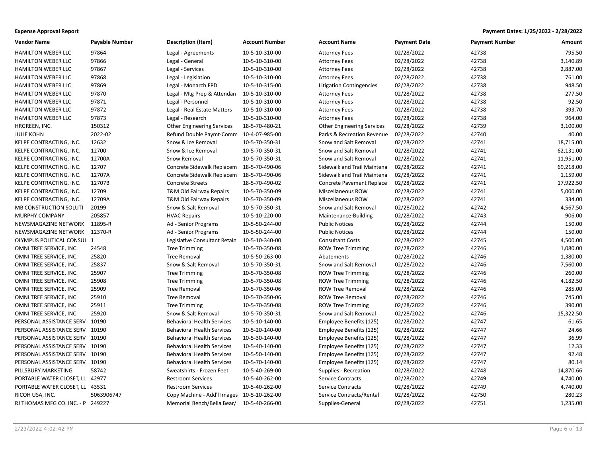| <b>Vendor Name</b>                | <b>Payable Number</b> | <b>Description (Item)</b>                  | <b>Account Number</b> | <b>Account Name</b>               | <b>Payment Date</b> | <b>Payment Number</b> | Amount    |
|-----------------------------------|-----------------------|--------------------------------------------|-----------------------|-----------------------------------|---------------------|-----------------------|-----------|
| <b>HAMILTON WEBER LLC</b>         | 97864                 | Legal - Agreements                         | 10-5-10-310-00        | <b>Attorney Fees</b>              | 02/28/2022          | 42738                 | 795.50    |
| HAMILTON WEBER LLC                | 97866                 | Legal - General                            | 10-5-10-310-00        | <b>Attorney Fees</b>              | 02/28/2022          | 42738                 | 3,140.89  |
| <b>HAMILTON WEBER LLC</b>         | 97867                 | Legal - Services                           | 10-5-10-310-00        | <b>Attorney Fees</b>              | 02/28/2022          | 42738                 | 2,887.00  |
| HAMILTON WEBER LLC                | 97868                 | Legal - Legislation                        | 10-5-10-310-00        | <b>Attorney Fees</b>              | 02/28/2022          | 42738                 | 761.00    |
| <b>HAMILTON WEBER LLC</b>         | 97869                 | Legal - Monarch FPD                        | 10-5-10-315-00        | <b>Litigation Contingencies</b>   | 02/28/2022          | 42738                 | 948.50    |
| HAMILTON WEBER LLC                | 97870                 | Legal - Mtg Prep & Attendan                | 10-5-10-310-00        | <b>Attorney Fees</b>              | 02/28/2022          | 42738                 | 277.50    |
| <b>HAMILTON WEBER LLC</b>         | 97871                 | Legal - Personnel                          | 10-5-10-310-00        | <b>Attorney Fees</b>              | 02/28/2022          | 42738                 | 92.50     |
| <b>HAMILTON WEBER LLC</b>         | 97872                 | Legal - Real Estate Matters                | 10-5-10-310-00        | <b>Attorney Fees</b>              | 02/28/2022          | 42738                 | 393.70    |
| <b>HAMILTON WEBER LLC</b>         | 97873                 | Legal - Research                           | 10-5-10-310-00        | <b>Attorney Fees</b>              | 02/28/2022          | 42738                 | 964.00    |
| HRGREEN, INC.                     | 150312                | <b>Other Engineering Services</b>          | 18-5-70-480-21        | <b>Other Engineering Services</b> | 02/28/2022          | 42739                 | 3,100.00  |
| <b>JULIE KOHN</b>                 | 2022-02               | Refund Double Paymt-Comm                   | 10-4-07-985-00        | Parks & Recreation Revenue        | 02/28/2022          | 42740                 | 40.00     |
| KELPE CONTRACTING, INC.           | 12632                 | Snow & Ice Removal                         | 10-5-70-350-31        | Snow and Salt Removal             | 02/28/2022          | 42741                 | 18,715.00 |
| KELPE CONTRACTING, INC.           | 12700                 | Snow & Ice Removal                         | 10-5-70-350-31        | Snow and Salt Removal             | 02/28/2022          | 42741                 | 62,131.00 |
| KELPE CONTRACTING, INC.           | 12700A                | Snow Removal                               | 10-5-70-350-31        | Snow and Salt Removal             | 02/28/2022          | 42741                 | 11,951.00 |
| KELPE CONTRACTING, INC.           | 12707                 | Concrete Sidewalk Replacem                 | 18-5-70-490-06        | Sidewalk and Trail Maintena       | 02/28/2022          | 42741                 | 69,218.00 |
| KELPE CONTRACTING, INC.           | 12707A                | Concrete Sidewalk Replacem                 | 18-5-70-490-06        | Sidewalk and Trail Maintena       | 02/28/2022          | 42741                 | 1,159.00  |
| KELPE CONTRACTING, INC.           | 12707B                | <b>Concrete Streets</b>                    | 18-5-70-490-02        | Concrete Pavement Replace         | 02/28/2022          | 42741                 | 17,922.50 |
| KELPE CONTRACTING, INC.           | 12709                 | T&M Old Fairway Repairs                    | 10-5-70-350-09        | Miscellaneous ROW                 | 02/28/2022          | 42741                 | 5,000.00  |
| KELPE CONTRACTING, INC.           | 12709A                | T&M Old Fairway Repairs                    | 10-5-70-350-09        | <b>Miscellaneous ROW</b>          | 02/28/2022          | 42741                 | 334.00    |
| MB CONSTRUCTION SOLUTI            | 20199                 | Snow & Salt Removal                        | 10-5-70-350-31        | Snow and Salt Removal             | 02/28/2022          | 42742                 | 4,567.50  |
| MURPHY COMPANY                    | 205857                | <b>HVAC Repairs</b>                        | 10-5-10-220-00        | Maintenance-Building              | 02/28/2022          | 42743                 | 906.00    |
| NEWSMAGAZINE NETWORK 11895-R      |                       | Ad - Senior Programs                       | 10-5-50-244-00        | <b>Public Notices</b>             | 02/28/2022          | 42744                 | 150.00    |
| NEWSMAGAZINE NETWORK 12370-R      |                       | Ad - Senior Programs                       | 10-5-50-244-00        | <b>Public Notices</b>             | 02/28/2022          | 42744                 | 150.00    |
| OLYMPUS POLITICAL CONSUL 1        |                       | Legislative Consultant Retain              | 10-5-10-340-00        | <b>Consultant Costs</b>           | 02/28/2022          | 42745                 | 4,500.00  |
| OMNI TREE SERVICE, INC.           | 24548                 | Tree Trimming                              | 10-5-70-350-08        | <b>ROW Tree Trimming</b>          | 02/28/2022          | 42746                 | 1,080.00  |
| OMNI TREE SERVICE, INC.           | 25820                 | <b>Tree Removal</b>                        | 10-5-50-263-00        | Abatements                        | 02/28/2022          | 42746                 | 1,380.00  |
| OMNI TREE SERVICE, INC.           | 25837                 | Snow & Salt Removal                        | 10-5-70-350-31        | Snow and Salt Removal             | 02/28/2022          | 42746                 | 7,560.00  |
| OMNI TREE SERVICE, INC.           | 25907                 | <b>Tree Trimming</b>                       | 10-5-70-350-08        | <b>ROW Tree Trimming</b>          | 02/28/2022          | 42746                 | 260.00    |
| OMNI TREE SERVICE, INC.           | 25908                 | <b>Tree Trimming</b>                       | 10-5-70-350-08        | <b>ROW Tree Trimming</b>          | 02/28/2022          | 42746                 | 4,182.50  |
| OMNI TREE SERVICE, INC.           | 25909                 | <b>Tree Removal</b>                        | 10-5-70-350-06        | <b>ROW Tree Removal</b>           | 02/28/2022          | 42746                 | 285.00    |
| OMNI TREE SERVICE, INC.           | 25910                 | <b>Tree Removal</b>                        | 10-5-70-350-06        | <b>ROW Tree Removal</b>           | 02/28/2022          | 42746                 | 745.00    |
| OMNI TREE SERVICE, INC.           | 25911                 | <b>Tree Trimming</b>                       | 10-5-70-350-08        | <b>ROW Tree Trimming</b>          | 02/28/2022          | 42746                 | 390.00    |
| OMNI TREE SERVICE, INC.           | 25920                 | Snow & Salt Removal                        | 10-5-70-350-31        | Snow and Salt Removal             | 02/28/2022          | 42746                 | 15,322.50 |
| PERSONAL ASSISTANCE SERV 10190    |                       | <b>Behavioral Health Services</b>          | 10-5-10-140-00        | Employee Benefits (125)           | 02/28/2022          | 42747                 | 61.65     |
| PERSONAL ASSISTANCE SERV 10190    |                       | <b>Behavioral Health Services</b>          | 10-5-20-140-00        | Employee Benefits (125)           | 02/28/2022          | 42747                 | 24.66     |
| PERSONAL ASSISTANCE SERV 10190    |                       | <b>Behavioral Health Services</b>          | 10-5-30-140-00        | Employee Benefits (125)           | 02/28/2022          | 42747                 | 36.99     |
| PERSONAL ASSISTANCE SERV 10190    |                       | <b>Behavioral Health Services</b>          | 10-5-40-140-00        | Employee Benefits (125)           | 02/28/2022          | 42747                 | 12.33     |
| PERSONAL ASSISTANCE SERV 10190    |                       | <b>Behavioral Health Services</b>          | 10-5-50-140-00        | Employee Benefits (125)           | 02/28/2022          | 42747                 | 92.48     |
| PERSONAL ASSISTANCE SERV 10190    |                       | <b>Behavioral Health Services</b>          | 10-5-70-140-00        | Employee Benefits (125)           | 02/28/2022          | 42747                 | 80.14     |
| PILLSBURY MARKETING               | 58742                 | Sweatshirts - Frozen Feet                  | 10-5-40-269-00        | Supplies - Recreation             | 02/28/2022          | 42748                 | 14,870.66 |
| PORTABLE WATER CLOSET, LL 42977   |                       | <b>Restroom Services</b>                   | 10-5-40-262-00        | <b>Service Contracts</b>          | 02/28/2022          | 42749                 | 4,740.00  |
| PORTABLE WATER CLOSET, LL 43531   |                       | <b>Restroom Services</b>                   | 10-5-40-262-00        | <b>Service Contracts</b>          | 02/28/2022          | 42749                 | 4,740.00  |
| RICOH USA, INC.                   | 5063906747            | Copy Machine - Add'l Images 10-5-10-262-00 |                       | Service Contracts/Rental          | 02/28/2022          | 42750                 | 280.23    |
| RJ THOMAS MFG CO. INC. - P 249227 |                       | Memorial Bench/Bella Bear/                 | 10-5-40-266-00        | Supplies-General                  | 02/28/2022          | 42751                 | 1,235.00  |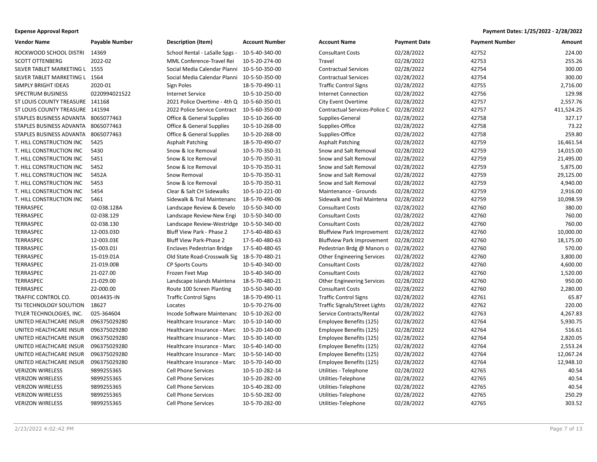| <b>Vendor Name</b>                  | <b>Payable Number</b> | <b>Description (Item)</b>                     | <b>Account Number</b> | <b>Account Name</b>               | <b>Payment Date</b> | <b>Payment Number</b> | Amount     |
|-------------------------------------|-----------------------|-----------------------------------------------|-----------------------|-----------------------------------|---------------------|-----------------------|------------|
| ROCKWOOD SCHOOL DISTRI              | 14369                 | School Rental - LaSalle Spgs - 10-5-40-340-00 |                       | <b>Consultant Costs</b>           | 02/28/2022          | 42752                 | 224.00     |
| <b>SCOTT OTTENBERG</b>              | 2022-02               | MML Conference-Travel Rei                     | 10-5-20-274-00        | Travel                            | 02/28/2022          | 42753                 | 255.26     |
| SILVER TABLET MARKETING L 1555      |                       | Social Media Calendar Planni 10-5-50-350-00   |                       | <b>Contractual Services</b>       | 02/28/2022          | 42754                 | 300.00     |
| SILVER TABLET MARKETING L 1564      |                       | Social Media Calendar Planni 10-5-50-350-00   |                       | <b>Contractual Services</b>       | 02/28/2022          | 42754                 | 300.00     |
| SIMPLY BRIGHT IDEAS                 | 2020-01               | Sign Poles                                    | 18-5-70-490-11        | <b>Traffic Control Signs</b>      | 02/28/2022          | 42755                 | 2,716.00   |
| SPECTRUM BUSINESS                   | 0220994021522         | <b>Internet Service</b>                       | 10-5-10-250-00        | <b>Internet Connection</b>        | 02/28/2022          | 42756                 | 129.98     |
| ST LOUIS COUNTY TREASURE 141168     |                       | 2021 Police Overtime - 4th Q 10-5-60-350-01   |                       | <b>City Event Overtime</b>        | 02/28/2022          | 42757                 | 2,557.76   |
| ST LOUIS COUNTY TREASURE 141594     |                       | 2022 Police Service Contract                  | 10-5-60-350-00        | Contractual Services-Police C     | 02/28/2022          | 42757                 | 411,524.25 |
| STAPLES BUSINESS ADVANTA 8065077463 |                       | Office & General Supplies                     | 10-5-10-266-00        | Supplies-General                  | 02/28/2022          | 42758                 | 327.17     |
| STAPLES BUSINESS ADVANTA 8065077463 |                       | <b>Office &amp; General Supplies</b>          | 10-5-10-268-00        | Supplies-Office                   | 02/28/2022          | 42758                 | 73.22      |
| STAPLES BUSINESS ADVANTA 8065077463 |                       | <b>Office &amp; General Supplies</b>          | 10-5-20-268-00        | Supplies-Office                   | 02/28/2022          | 42758                 | 259.80     |
| T. HILL CONSTRUCTION INC            | 5425                  | <b>Asphalt Patching</b>                       | 18-5-70-490-07        | <b>Asphalt Patching</b>           | 02/28/2022          | 42759                 | 16,461.54  |
| T. HILL CONSTRUCTION INC            | 5430                  | Snow & Ice Removal                            | 10-5-70-350-31        | Snow and Salt Removal             | 02/28/2022          | 42759                 | 14,015.00  |
| T. HILL CONSTRUCTION INC            | 5451                  | Snow & Ice Removal                            | 10-5-70-350-31        | Snow and Salt Removal             | 02/28/2022          | 42759                 | 21,495.00  |
| T. HILL CONSTRUCTION INC            | 5452                  | Snow & Ice Removal                            | 10-5-70-350-31        | Snow and Salt Removal             | 02/28/2022          | 42759                 | 5,875.00   |
| T. HILL CONSTRUCTION INC            | 5452A                 | Snow Removal                                  | 10-5-70-350-31        | Snow and Salt Removal             | 02/28/2022          | 42759                 | 29,125.00  |
| T. HILL CONSTRUCTION INC            | 5453                  | Snow & Ice Removal                            | 10-5-70-350-31        | Snow and Salt Removal             | 02/28/2022          | 42759                 | 4,940.00   |
| T. HILL CONSTRUCTION INC            | 5454                  | Clear & Salt CH Sidewalks                     | 10-5-10-221-00        | Maintenance - Grounds             | 02/28/2022          | 42759                 | 2,916.00   |
| T. HILL CONSTRUCTION INC            | 5461                  | Sidewalk & Trail Maintenanc                   | 18-5-70-490-06        | Sidewalk and Trail Maintena       | 02/28/2022          | 42759                 | 10,098.59  |
| TERRASPEC                           | 02-038.128A           | Landscape Review & Develo                     | 10-5-50-340-00        | <b>Consultant Costs</b>           | 02/28/2022          | 42760                 | 380.00     |
| TERRASPEC                           | 02-038.129            | Landscape Review-New Engi                     | 10-5-50-340-00        | <b>Consultant Costs</b>           | 02/28/2022          | 42760                 | 760.00     |
| <b>TERRASPEC</b>                    | 02-038.130            | Landscape Review-Westridge 10-5-50-340-00     |                       | <b>Consultant Costs</b>           | 02/28/2022          | 42760                 | 760.00     |
| TERRASPEC                           | 12-003.03D            | Bluff View Park - Phase 2                     | 17-5-40-480-63        | <b>Bluffview Park Improvement</b> | 02/28/2022          | 42760                 | 10,000.00  |
| TERRASPEC                           | 12-003.03E            | Bluff View Park-Phase 2                       | 17-5-40-480-63        | <b>Bluffview Park Improvement</b> | 02/28/2022          | 42760                 | 18,175.00  |
| TERRASPEC                           | 15-003.01             | <b>Enclaves Pedestrian Bridge</b>             | 17-5-40-480-65        | Pedestrian Brdg @ Manors o        | 02/28/2022          | 42760                 | 570.00     |
| TERRASPEC                           | 15-019.01A            | Old State Road-Crosswalk Sig                  | 18-5-70-480-21        | <b>Other Engineering Services</b> | 02/28/2022          | 42760                 | 3,800.00   |
| <b>TERRASPEC</b>                    | 21-019.00B            | <b>CP Sports Courts</b>                       | 10-5-40-340-00        | <b>Consultant Costs</b>           | 02/28/2022          | 42760                 | 4,600.00   |
| <b>TERRASPEC</b>                    | 21-027.00             | Frozen Feet Map                               | 10-5-40-340-00        | <b>Consultant Costs</b>           | 02/28/2022          | 42760                 | 1,520.00   |
| TERRASPEC                           | 21-029.00             | Landscape Islands Maintena                    | 18-5-70-480-21        | <b>Other Engineering Services</b> | 02/28/2022          | 42760                 | 950.00     |
| TERRASPEC                           | 22-000.00             | Route 100 Screen Planting                     | 10-5-50-340-00        | <b>Consultant Costs</b>           | 02/28/2022          | 42760                 | 2,280.00   |
| TRAFFIC CONTROL CO.                 | 0014435-IN            | <b>Traffic Control Signs</b>                  | 18-5-70-490-11        | <b>Traffic Control Signs</b>      | 02/28/2022          | 42761                 | 65.87      |
| TSI TECHNOLOGY SOLUTION             | 18627                 | Locates                                       | 10-5-70-276-00        | Traffic Signals/Street Lights     | 02/28/2022          | 42762                 | 220.00     |
| TYLER TECHNOLOGIES, INC.            | 025-364604            | Incode Software Maintenanc                    | 10-5-10-262-00        | Service Contracts/Rental          | 02/28/2022          | 42763                 | 4,267.83   |
| UNITED HEALTHCARE INSUR             | 096375029280          | Healthcare Insurance - Marc                   | 10-5-10-140-00        | Employee Benefits (125)           | 02/28/2022          | 42764                 | 5,930.75   |
| UNITED HEALTHCARE INSUR             | 096375029280          | Healthcare Insurance - Marc                   | 10-5-20-140-00        | Employee Benefits (125)           | 02/28/2022          | 42764                 | 516.61     |
| UNITED HEALTHCARE INSUR             | 096375029280          | Healthcare Insurance - Marc                   | 10-5-30-140-00        | Employee Benefits (125)           | 02/28/2022          | 42764                 | 2,820.05   |
| UNITED HEALTHCARE INSUR             | 096375029280          | Healthcare Insurance - Marc                   | 10-5-40-140-00        | Employee Benefits (125)           | 02/28/2022          | 42764                 | 2,553.24   |
| UNITED HEALTHCARE INSUR             | 096375029280          | Healthcare Insurance - Marc                   | 10-5-50-140-00        | Employee Benefits (125)           | 02/28/2022          | 42764                 | 12,067.24  |
| UNITED HEALTHCARE INSUR             | 096375029280          | Healthcare Insurance - Marc                   | 10-5-70-140-00        | Employee Benefits (125)           | 02/28/2022          | 42764                 | 12,948.10  |
| <b>VERIZON WIRELESS</b>             | 9899255365            | <b>Cell Phone Services</b>                    | 10-5-10-282-14        | Utilities - Telephone             | 02/28/2022          | 42765                 | 40.54      |
| <b>VERIZON WIRELESS</b>             | 9899255365            | <b>Cell Phone Services</b>                    | 10-5-20-282-00        | Utilities-Telephone               | 02/28/2022          | 42765                 | 40.54      |
| <b>VERIZON WIRELESS</b>             | 9899255365            | <b>Cell Phone Services</b>                    | 10-5-40-282-00        | Utilities-Telephone               | 02/28/2022          | 42765                 | 40.54      |
| <b>VERIZON WIRELESS</b>             | 9899255365            | <b>Cell Phone Services</b>                    | 10-5-50-282-00        | Utilities-Telephone               | 02/28/2022          | 42765                 | 250.29     |
| <b>VERIZON WIRELESS</b>             | 9899255365            | <b>Cell Phone Services</b>                    | 10-5-70-282-00        | Utilities-Telephone               | 02/28/2022          | 42765                 | 303.52     |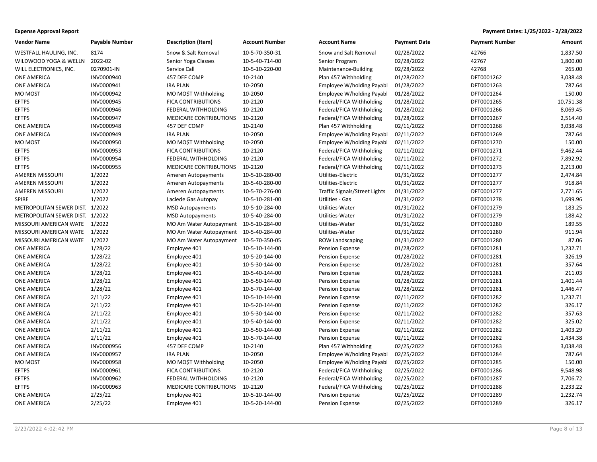| <b>Expense Approval Report</b> | Payment Dates: 1/25/2022 - 2/28/2022 |
|--------------------------------|--------------------------------------|
|--------------------------------|--------------------------------------|

| <b>Vendor Name</b>              | <b>Payable Number</b> | <b>Description (Item)</b>              | <b>Account Number</b> | <b>Account Name</b>                  | <b>Payment Date</b> | <b>Payment Number</b> | Amount    |
|---------------------------------|-----------------------|----------------------------------------|-----------------------|--------------------------------------|---------------------|-----------------------|-----------|
| WESTFALL HAULING, INC.          | 8174                  | Snow & Salt Removal                    | 10-5-70-350-31        | Snow and Salt Removal                | 02/28/2022          | 42766                 | 1,837.50  |
| WILDWOOD YOGA & WELLN           | 2022-02               | Senior Yoga Classes                    | 10-5-40-714-00        | Senior Program                       | 02/28/2022          | 42767                 | 1,800.00  |
| WILL ELECTRONICS, INC.          | 0270901-IN            | Service Call                           | 10-5-10-220-00        | Maintenance-Building                 | 02/28/2022          | 42768                 | 265.00    |
| ONE AMERICA                     | INV0000940            | 457 DEF COMP                           | 10-2140               | Plan 457 Withholding                 | 01/28/2022          | DFT0001262            | 3,038.48  |
| <b>ONE AMERICA</b>              | INV0000941            | <b>IRA PLAN</b>                        | 10-2050               | Employee W/holding Payabl            | 01/28/2022          | DFT0001263            | 787.64    |
| MO MOST                         | INV0000942            | MO MO\$T Withholding                   | 10-2050               | Employee W/holding Payabl            | 01/28/2022          | DFT0001264            | 150.00    |
| <b>EFTPS</b>                    | INV0000945            | FICA CONTRIBUTIONS                     | 10-2120               | Federal/FICA Withholding             | 01/28/2022          | DFT0001265            | 10,751.38 |
| <b>EFTPS</b>                    | INV0000946            | FEDERAL WITHHOLDING                    | 10-2120               | Federal/FICA Withholding             | 01/28/2022          | DFT0001266            | 8,069.45  |
| <b>EFTPS</b>                    | INV0000947            | MEDICARE CONTRIBUTIONS                 | 10-2120               | Federal/FICA Withholding             | 01/28/2022          | DFT0001267            | 2,514.40  |
| <b>ONE AMERICA</b>              | INV0000948            | 457 DEF COMP                           | 10-2140               | Plan 457 Withholding                 | 02/11/2022          | DFT0001268            | 3,038.48  |
| <b>ONE AMERICA</b>              | INV0000949            | <b>IRA PLAN</b>                        | 10-2050               | Employee W/holding Payabl            | 02/11/2022          | DFT0001269            | 787.64    |
| MO MOST                         | INV0000950            | MO MO\$T Withholding                   | 10-2050               | Employee W/holding Payabl            | 02/11/2022          | DFT0001270            | 150.00    |
| <b>EFTPS</b>                    | INV0000953            | <b>FICA CONTRIBUTIONS</b>              | 10-2120               | Federal/FICA Withholding             | 02/11/2022          | DFT0001271            | 9,462.44  |
| <b>EFTPS</b>                    | INV0000954            | FEDERAL WITHHOLDING                    | 10-2120               | Federal/FICA Withholding             | 02/11/2022          | DFT0001272            | 7,892.92  |
| <b>EFTPS</b>                    | INV0000955            | <b>MEDICARE CONTRIBUTIONS</b>          | 10-2120               | Federal/FICA Withholding             | 02/11/2022          | DFT0001273            | 2,213.00  |
| AMEREN MISSOURI                 | 1/2022                | Ameren Autopayments                    | 10-5-10-280-00        | Utilities-Electric                   | 01/31/2022          | DFT0001277            | 2,474.84  |
| AMEREN MISSOURI                 | 1/2022                | Ameren Autopayments                    | 10-5-40-280-00        | Utilities-Electric                   | 01/31/2022          | DFT0001277            | 918.84    |
| AMEREN MISSOURI                 | 1/2022                | Ameren Autopayments                    | 10-5-70-276-00        | <b>Traffic Signals/Street Lights</b> | 01/31/2022          | DFT0001277            | 2,771.65  |
| <b>SPIRE</b>                    | 1/2022                | Laclede Gas Autopay                    | 10-5-10-281-00        | <b>Utilities - Gas</b>               | 01/31/2022          | DFT0001278            | 1,699.96  |
| METROPOLITAN SEWER DIST. 1/2022 |                       | <b>MSD Autopayments</b>                | 10-5-10-284-00        | Utilities-Water                      | 01/31/2022          | DFT0001279            | 183.25    |
| METROPOLITAN SEWER DIST. 1/2022 |                       | <b>MSD Autopayments</b>                | 10-5-40-284-00        | Utilities-Water                      | 01/31/2022          | DFT0001279            | 188.42    |
| MISSOURI AMERICAN WATE          | 1/2022                | MO Am Water Autopayment                | 10-5-10-284-00        | Utilities-Water                      | 01/31/2022          | DFT0001280            | 189.55    |
| MISSOURI AMERICAN WATE          | 1/2022                | MO Am Water Autopayment 10-5-40-284-00 |                       | Utilities-Water                      | 01/31/2022          | DFT0001280            | 911.94    |
| MISSOURI AMERICAN WATE          | 1/2022                | MO Am Water Autopayment 10-5-70-350-05 |                       | <b>ROW Landscaping</b>               | 01/31/2022          | DFT0001280            | 87.06     |
| ONE AMERICA                     | 1/28/22               | Employee 401                           | 10-5-10-144-00        | Pension Expense                      | 01/28/2022          | DFT0001281            | 1,232.71  |
| ONE AMERICA                     | 1/28/22               | Employee 401                           | 10-5-20-144-00        | Pension Expense                      | 01/28/2022          | DFT0001281            | 326.19    |
| ONE AMERICA                     | 1/28/22               | Employee 401                           | 10-5-30-144-00        | Pension Expense                      | 01/28/2022          | DFT0001281            | 357.64    |
| ONE AMERICA                     | 1/28/22               | Employee 401                           | 10-5-40-144-00        | Pension Expense                      | 01/28/2022          | DFT0001281            | 211.03    |
| ONE AMERICA                     | 1/28/22               | Employee 401                           | 10-5-50-144-00        | Pension Expense                      | 01/28/2022          | DFT0001281            | 1,401.44  |
| ONE AMERICA                     | 1/28/22               | Employee 401                           | 10-5-70-144-00        | Pension Expense                      | 01/28/2022          | DFT0001281            | 1,446.47  |
| <b>ONE AMERICA</b>              | 2/11/22               | Employee 401                           | 10-5-10-144-00        | Pension Expense                      | 02/11/2022          | DFT0001282            | 1,232.71  |
| ONE AMERICA                     | 2/11/22               | Employee 401                           | 10-5-20-144-00        | Pension Expense                      | 02/11/2022          | DFT0001282            | 326.17    |
| <b>ONE AMERICA</b>              | 2/11/22               | Employee 401                           | 10-5-30-144-00        | Pension Expense                      | 02/11/2022          | DFT0001282            | 357.63    |
| ONE AMERICA                     | 2/11/22               | Employee 401                           | 10-5-40-144-00        | Pension Expense                      | 02/11/2022          | DFT0001282            | 325.02    |
| ONE AMERICA                     | 2/11/22               | Employee 401                           | 10-5-50-144-00        | Pension Expense                      | 02/11/2022          | DFT0001282            | 1,403.29  |
| ONE AMERICA                     | 2/11/22               | Employee 401                           | 10-5-70-144-00        | Pension Expense                      | 02/11/2022          | DFT0001282            | 1,434.38  |
| ONE AMERICA                     | INV0000956            | 457 DEF COMP                           | 10-2140               | Plan 457 Withholding                 | 02/25/2022          | DFT0001283            | 3,038.48  |
| ONE AMERICA                     | INV0000957            | <b>IRA PLAN</b>                        | 10-2050               | Employee W/holding Payabl            | 02/25/2022          | DFT0001284            | 787.64    |
| MO MOST                         | INV0000958            | MO MOST Withholding                    | 10-2050               | Employee W/holding Payabl            | 02/25/2022          | DFT0001285            | 150.00    |
| <b>EFTPS</b>                    | INV0000961            | <b>FICA CONTRIBUTIONS</b>              | 10-2120               | Federal/FICA Withholding             | 02/25/2022          | DFT0001286            | 9,548.98  |
| <b>EFTPS</b>                    | INV0000962            | FEDERAL WITHHOLDING                    | 10-2120               | Federal/FICA Withholding             | 02/25/2022          | DFT0001287            | 7,706.72  |
| <b>EFTPS</b>                    | INV0000963            | <b>MEDICARE CONTRIBUTIONS</b>          | 10-2120               | Federal/FICA Withholding             | 02/25/2022          | DFT0001288            | 2,233.22  |
| <b>ONE AMERICA</b>              | 2/25/22               | Employee 401                           | 10-5-10-144-00        | Pension Expense                      | 02/25/2022          | DFT0001289            | 1,232.74  |
| <b>ONE AMERICA</b>              | 2/25/22               | Employee 401                           | 10-5-20-144-00        | Pension Expense                      | 02/25/2022          | DFT0001289            | 326.17    |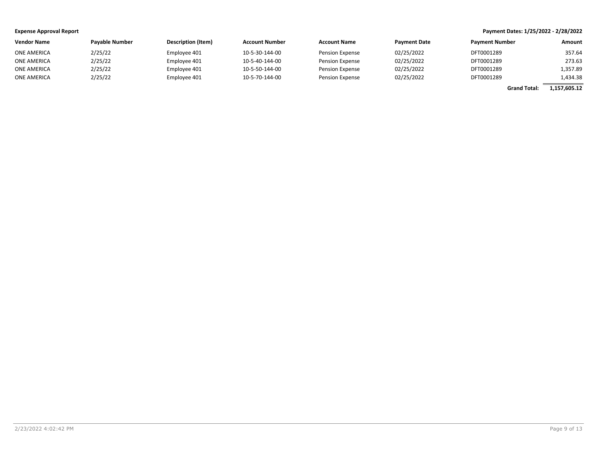| <b>Vendor Name</b> | <b>Pavable Number</b> | Description (Item) | <b>Account Number</b> | <b>Account Name</b>    | <b>Payment Date</b> | <b>Payment Number</b> | Amount   |
|--------------------|-----------------------|--------------------|-----------------------|------------------------|---------------------|-----------------------|----------|
| <b>ONE AMERICA</b> | 2/25/22               | Employee 401       | 10-5-30-144-00        | <b>Pension Expense</b> | 02/25/2022          | DFT0001289            | 357.64   |
| ONE AMERICA        | 2/25/22               | Employee 401       | 10-5-40-144-00        | <b>Pension Expense</b> | 02/25/2022          | DFT0001289            | 273.63   |
| ONE AMERICA        | 2/25/22               | Employee 401       | 10-5-50-144-00        | Pension Expense        | 02/25/2022          | DFT0001289            | 1.357.89 |
| ONE AMERICA        | 2/25/22               | Employee 401       | 10-5-70-144-00        | <b>Pension Expense</b> | 02/25/2022          | DFT0001289            | 1.434.38 |

Grand Total: 1,157,605.12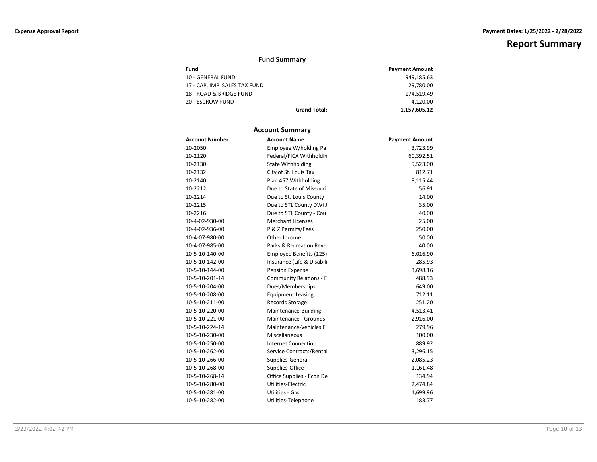# Fund Summary

| Fund                          |                     | <b>Payment Amount</b> |
|-------------------------------|---------------------|-----------------------|
| 10 - GENERAL FUND             |                     | 949.185.63            |
| 17 - CAP. IMP. SALES TAX FUND |                     | 29.780.00             |
| 18 - ROAD & BRIDGE FUND       |                     | 174.519.49            |
| 20 - ESCROW FUND              |                     | 4.120.00              |
|                               | <b>Grand Total:</b> | 1,157,605.12          |

### Account Summary

| <b>Account Number</b> | <b>Account Name</b>            | <b>Payment Amount</b> |
|-----------------------|--------------------------------|-----------------------|
| 10-2050               | Employee W/holding Pa          | 3,723.99              |
| 10-2120               | Federal/FICA Withholdin        | 60,392.51             |
| 10-2130               | <b>State Withholding</b>       | 5,523.00              |
| 10-2132               | City of St. Louis Tax          | 812.71                |
| 10-2140               | Plan 457 Withholding           | 9,115.44              |
| 10-2212               | Due to State of Missouri       | 56.91                 |
| 10-2214               | Due to St. Louis County        | 14.00                 |
| 10-2215               | Due to STL County DWI J        | 35.00                 |
| 10-2216               | Due to STL County - Cou        | 40.00                 |
| 10-4-02-930-00        | <b>Merchant Licenses</b>       | 25.00                 |
| 10-4-02-936-00        | P & Z Permits/Fees             | 250.00                |
| 10-4-07-980-00        | Other Income                   | 50.00                 |
| 10-4-07-985-00        | Parks & Recreation Reve        | 40.00                 |
| 10-5-10-140-00        | Employee Benefits (125)        | 6,016.90              |
| 10-5-10-142-00        | Insurance (Life & Disabili     | 285.93                |
| 10-5-10-144-00        | <b>Pension Expense</b>         | 3,698.16              |
| 10-5-10-201-14        | <b>Community Relations - E</b> | 488.93                |
| 10-5-10-204-00        | Dues/Memberships               | 649.00                |
| 10-5-10-208-00        | <b>Equipment Leasing</b>       | 712.11                |
| 10-5-10-211-00        | Records Storage                | 251.20                |
| 10-5-10-220-00        | Maintenance-Building           | 4,513.41              |
| 10-5-10-221-00        | Maintenance - Grounds          | 2,916.00              |
| 10-5-10-224-14        | Maintenance-Vehicles E         | 279.96                |
| 10-5-10-230-00        | Miscellaneous                  | 100.00                |
| 10-5-10-250-00        | <b>Internet Connection</b>     | 889.92                |
| 10-5-10-262-00        | Service Contracts/Rental       | 13,296.15             |
| 10-5-10-266-00        | Supplies-General               | 2,085.23              |
| 10-5-10-268-00        | Supplies-Office                | 1,161.48              |
| 10-5-10-268-14        | Office Supplies - Econ De      | 134.94                |
| 10-5-10-280-00        | Utilities-Electric             | 2,474.84              |
| 10-5-10-281-00        | <b>Utilities - Gas</b>         | 1,699.96              |
| 10-5-10-282-00        | Utilities-Telephone            | 183.77                |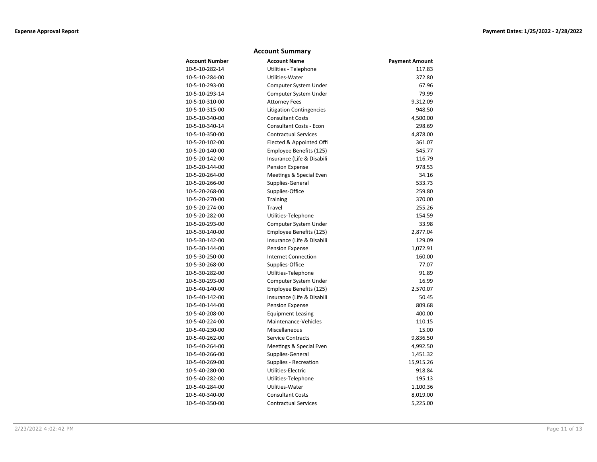### Account Summary

| <b>Account Number</b> | <b>Account Name</b>             | <b>Payment Amount</b> |
|-----------------------|---------------------------------|-----------------------|
| 10-5-10-282-14        | Utilities - Telephone           | 117.83                |
| 10-5-10-284-00        | Utilities-Water                 | 372.80                |
| 10-5-10-293-00        | Computer System Under           | 67.96                 |
| 10-5-10-293-14        | Computer System Under           | 79.99                 |
| 10-5-10-310-00        | <b>Attorney Fees</b>            | 9,312.09              |
| 10-5-10-315-00        | <b>Litigation Contingencies</b> | 948.50                |
| 10-5-10-340-00        | <b>Consultant Costs</b>         | 4,500.00              |
| 10-5-10-340-14        | <b>Consultant Costs - Econ</b>  | 298.69                |
| 10-5-10-350-00        | <b>Contractual Services</b>     | 4,878.00              |
| 10-5-20-102-00        | Elected & Appointed Offi        | 361.07                |
| 10-5-20-140-00        | Employee Benefits (125)         | 545.77                |
| 10-5-20-142-00        | Insurance (Life & Disabili      | 116.79                |
| 10-5-20-144-00        | Pension Expense                 | 978.53                |
| 10-5-20-264-00        | Meetings & Special Even         | 34.16                 |
| 10-5-20-266-00        | Supplies-General                | 533.73                |
| 10-5-20-268-00        | Supplies-Office                 | 259.80                |
| 10-5-20-270-00        | Training                        | 370.00                |
| 10-5-20-274-00        | Travel                          | 255.26                |
| 10-5-20-282-00        | Utilities-Telephone             | 154.59                |
| 10-5-20-293-00        | Computer System Under           | 33.98                 |
| 10-5-30-140-00        | Employee Benefits (125)         | 2,877.04              |
| 10-5-30-142-00        | Insurance (Life & Disabili      | 129.09                |
| 10-5-30-144-00        | <b>Pension Expense</b>          | 1,072.91              |
| 10-5-30-250-00        | <b>Internet Connection</b>      | 160.00                |
| 10-5-30-268-00        | Supplies-Office                 | 77.07                 |
| 10-5-30-282-00        | Utilities-Telephone             | 91.89                 |
| 10-5-30-293-00        | Computer System Under           | 16.99                 |
| 10-5-40-140-00        | Employee Benefits (125)         | 2,570.07              |
| 10-5-40-142-00        | Insurance (Life & Disabili      | 50.45                 |
| 10-5-40-144-00        | Pension Expense                 | 809.68                |
| 10-5-40-208-00        | <b>Equipment Leasing</b>        | 400.00                |
| 10-5-40-224-00        | Maintenance-Vehicles            | 110.15                |
| 10-5-40-230-00        | Miscellaneous                   | 15.00                 |
| 10-5-40-262-00        | <b>Service Contracts</b>        | 9,836.50              |
| 10-5-40-264-00        | Meetings & Special Even         | 4,992.50              |
| 10-5-40-266-00        | Supplies-General                | 1,451.32              |
| 10-5-40-269-00        | Supplies - Recreation           | 15,915.26             |
| 10-5-40-280-00        | Utilities-Electric              | 918.84                |
| 10-5-40-282-00        | Utilities-Telephone             | 195.13                |
| 10-5-40-284-00        | Utilities-Water                 | 1,100.36              |
| 10-5-40-340-00        | <b>Consultant Costs</b>         | 8,019.00              |
| 10-5-40-350-00        | <b>Contractual Services</b>     | 5,225.00              |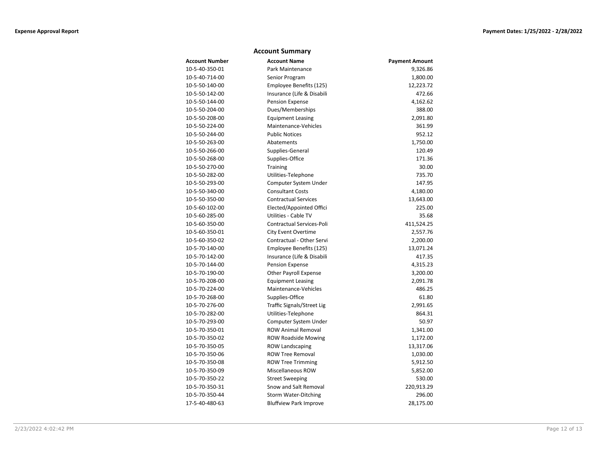### Account Summary

| <b>Account Number</b> | <b>Account Name</b>              | <b>Payment Amount</b> |
|-----------------------|----------------------------------|-----------------------|
| 10-5-40-350-01        | Park Maintenance                 | 9,326.86              |
| 10-5-40-714-00        | Senior Program                   | 1,800.00              |
| 10-5-50-140-00        | Employee Benefits (125)          | 12,223.72             |
| 10-5-50-142-00        | Insurance (Life & Disabili       | 472.66                |
| 10-5-50-144-00        | Pension Expense                  | 4,162.62              |
| 10-5-50-204-00        | Dues/Memberships                 | 388.00                |
| 10-5-50-208-00        | <b>Equipment Leasing</b>         | 2,091.80              |
| 10-5-50-224-00        | Maintenance-Vehicles             | 361.99                |
| 10-5-50-244-00        | <b>Public Notices</b>            | 952.12                |
| 10-5-50-263-00        | Abatements                       | 1,750.00              |
| 10-5-50-266-00        | Supplies-General                 | 120.49                |
| 10-5-50-268-00        | Supplies-Office                  | 171.36                |
| 10-5-50-270-00        | Training                         | 30.00                 |
| 10-5-50-282-00        | Utilities-Telephone              | 735.70                |
| 10-5-50-293-00        | Computer System Under            | 147.95                |
| 10-5-50-340-00        | <b>Consultant Costs</b>          | 4,180.00              |
| 10-5-50-350-00        | <b>Contractual Services</b>      | 13,643.00             |
| 10-5-60-102-00        | Elected/Appointed Offici         | 225.00                |
| 10-5-60-285-00        | Utilities - Cable TV             | 35.68                 |
| 10-5-60-350-00        | <b>Contractual Services-Poli</b> | 411,524.25            |
| 10-5-60-350-01        | <b>City Event Overtime</b>       | 2,557.76              |
| 10-5-60-350-02        | Contractual - Other Servi        | 2,200.00              |
| 10-5-70-140-00        | Employee Benefits (125)          | 13,071.24             |
| 10-5-70-142-00        | Insurance (Life & Disabili       | 417.35                |
| 10-5-70-144-00        | Pension Expense                  | 4,315.23              |
| 10-5-70-190-00        | <b>Other Payroll Expense</b>     | 3,200.00              |
| 10-5-70-208-00        | <b>Equipment Leasing</b>         | 2,091.78              |
| 10-5-70-224-00        | Maintenance-Vehicles             | 486.25                |
| 10-5-70-268-00        | Supplies-Office                  | 61.80                 |
| 10-5-70-276-00        | Traffic Signals/Street Lig       | 2,991.65              |
| 10-5-70-282-00        | Utilities-Telephone              | 864.31                |
| 10-5-70-293-00        | Computer System Under            | 50.97                 |
| 10-5-70-350-01        | <b>ROW Animal Removal</b>        | 1,341.00              |
| 10-5-70-350-02        | <b>ROW Roadside Mowing</b>       | 1,172.00              |
| 10-5-70-350-05        | <b>ROW Landscaping</b>           | 13,317.06             |
| 10-5-70-350-06        | <b>ROW Tree Removal</b>          | 1,030.00              |
| 10-5-70-350-08        | <b>ROW Tree Trimming</b>         | 5,912.50              |
| 10-5-70-350-09        | Miscellaneous ROW                | 5,852.00              |
| 10-5-70-350-22        | <b>Street Sweeping</b>           | 530.00                |
| 10-5-70-350-31        | Snow and Salt Removal            | 220,913.29            |
| 10-5-70-350-44        | <b>Storm Water-Ditching</b>      | 296.00                |
| 17-5-40-480-63        | <b>Bluffview Park Improve</b>    | 28,175.00             |